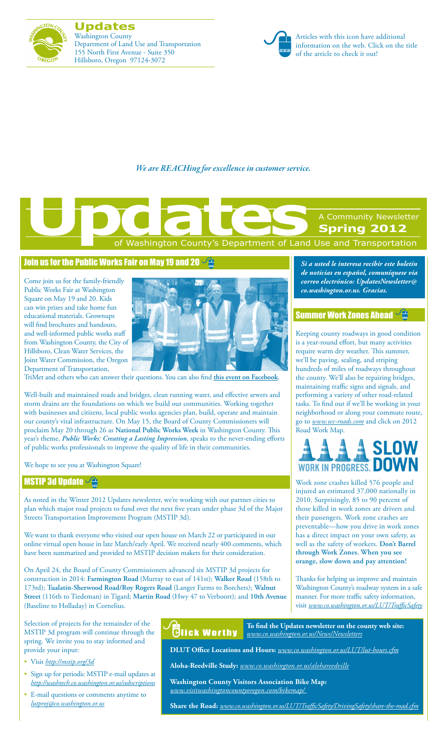

**Updates** Washington County Department of Land Use and Transportation 155 North First Avenue - Suite 350 Hillsboro, Oregon 97124-3072



Articles with this icon have additional information on the web. Click on the title of the article to check it out!

*We are REACHing for excellence in customer service.*

# of Washington County's Department of Land Use and Transportation A Community Newsletter **Spring 2012 Updates**<br>
The Contract of Washington County's Department of Land

#### [Join us for the Public Works Fair on May 19 and 20](http://www.co.washington.or.us/LUT/News/national-public-works-week-2012.cfm)  $\sqrt{2}$

Come join us for the family-friendly Public Works Fair at Washington Square on May 19 and 20. Kids can win prizes and take home fun educational materials. Grownups will find brochures and handouts, and well-informed public works staff from Washington County, the City of Hillsboro, Clean Water Services, the Joint Water Commission, the Oregon Department of Transportation,



TriMet and others who can answer their questions. You can also find **[this event on Facebook](http://on.fb.me/IDlY6F

)**.

Well-built and maintained roads and bridges, clean running water, and effective sewers and storm drains are the foundations on which we build our communities. Working together with businesses and citizens, local public works agencies plan, build, operate and maintain our county's vital infrastructure. On May 15, the Board of County Commissioners will proclaim May 20 through 26 as **National Public Works Week** in Washington County. This year's theme, *Public Works: Creating a Lasting Impression*, speaks to the never-ending efforts of public works professionals to improve the quality of life in their communities.

We hope to see you at Washington Square!

#### **[MSTIP 3d Update](http://mstip.org/3d) - Andrew 19**

As noted in the Winter 2012 Updates newsletter, we're working with our partner cities to plan which major road projects to fund over the next five years under phase 3d of the Major Streets Transportation Improvement Program (MSTIP 3d).

We want to thank everyone who visited our open house on March 22 or participated in our online virtual open house in late March/early April. We received nearly 400 comments, which have been summarized and provided to MSTIP decision makers for their consideration.

On April 24, the Board of County Commissioners advanced six MSTIP 3d projects for construction in 2014: **Farmington Road** (Murray to east of 141st); **Walker Road** (158th to 173rd); **Tualatin-Sherwood Road/Roy Rogers Road** (Langer Farms to Borchers); **Walnut Street** (116th to Tiedeman) in Tigard; **Martin Road** (Hwy 47 to Verboort); and **10th Avenue**  (Baseline to Holladay) in Cornelius.

Selection of projects for the remainder of the MSTIP 3d program will continue through the spring. We invite you to stay informed and provide your input:

- • Visit *http://mstip.org/3d*
- • Sign up for periodic MSTIP e-mail updates at *http://washtech.co.washington.or.us/subscriptions*
- • E-mail questions or comments anytime to *lutproj@co.washington.or.us*

injured an estimated 37,000 nationally in 2010. Surprisingly, 85 to 90 percent of those killed in work zones are drivers and

their passengers. Work zone crashes are preventable—how you drive in work zones has a direct impact on your own safety, as well as the safety of workers. **Don't Barrel through Work Zones. When you see orange, slow down and pay attention!**

Thanks for helping us improve and maintain Washington County's roadway system in a safe manner. For more traffic safety information, visit *www.co.washington.or.us/LUT/TrafficSafety*

**Flick Worthy** 

**DLUT Office Locations and Hours:** *www.co.washington.or.us/LUT/lut-hours.cfm*

*www.co.washington.or.us/News/Newsletters*

**Aloha-Reedville Study:** *www.co.washington.or.us/alohareedville*

**Washington County Visitors Association Bike Map:**  *www.visitwashingtoncountyoregon.com/bikemap/* 

**Share the Road:** *www.co.washington.or.us/LUT/TrafficSafety/DrivingSafety/share-the-road.cfm*

*Si a usted le interesa recibir este boletín de noticias en español, comuníquese via correo electrónico: UpdatesNewsletter@ co.washington.or.us. Gracias.*

#### [Summer Work Zones Ahead](www.co.washington.or.us/LUT/TrafficSafety)  $\sqrt{\frac{1}{m}}$

Keeping county roadways in good condition is a year-round effort, but many activities require warm dry weather. This summer, we'll be paving, sealing, and striping hundreds of miles of roadways throughout the county. We'll also be repairing bridges, maintaining traffic signs and signals, and performing a variety of other road-related tasks. To find out if we'll be working in your neighborhood or along your commute route, go to *www.wc-roads.com* and click on 2012 Road Work Map.

# SI NW WORK IN PROGRESS. DOWN

Work zone crashes killed 576 people and

**To find the Updates newsletter on the county web site:**